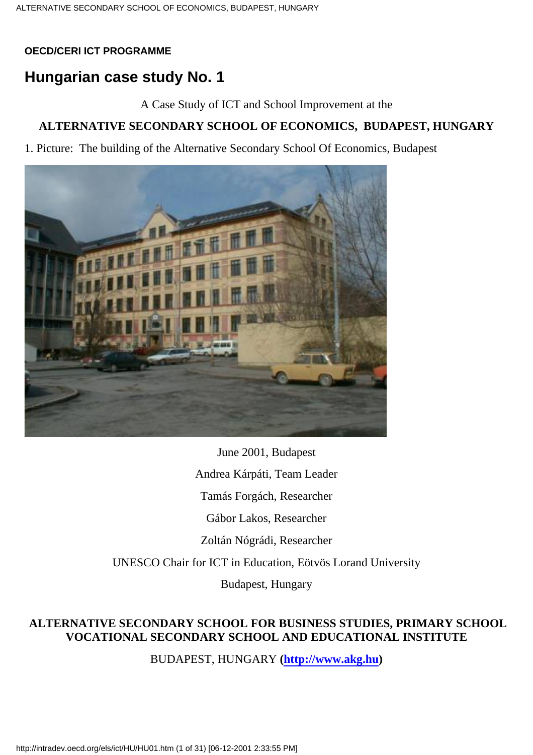#### **OECD/CERI ICT PROGRAMME**

# **Hungarian case study No. 1**

A Case Study of ICT and School Improvement at the

# **ALTERNATIVE SECONDARY SCHOOL OF ECONOMICS, BUDAPEST, HUNGARY**

1. Picture: The building of the Alternative Secondary School Of Economics, Budapest



June 2001, Budapest

Andrea Kárpáti, Team Leader

Tamás Forgách, Researcher

Gábor Lakos, Researcher

Zoltán Nógrádi, Researcher

UNESCO Chair for ICT in Education, Eötvös Lorand University

Budapest, Hungary

### **ALTERNATIVE SECONDARY SCHOOL FOR BUSINESS STUDIES, PRIMARY SCHOOL VOCATIONAL SECONDARY SCHOOL AND EDUCATIONAL INSTITUTE**

BUDAPEST, HUNGARY **([http://www.akg.hu\)](http://www.akg.hu/)**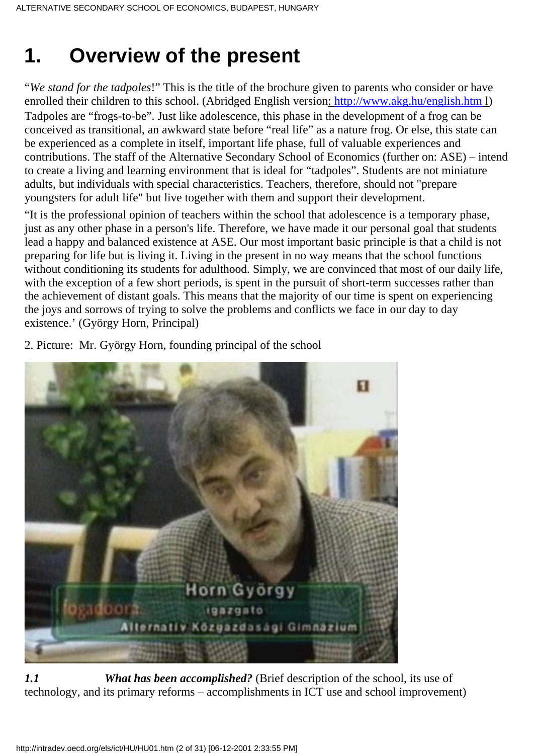# **1. Overview of the present**

"*We stand for the tadpoles*!" This is the title of the brochure given to parents who consider or have enrolled their children to this school. (Abridged English version:<http://www.akg.hu/english.htm> l) Tadpoles are "frogs-to-be". Just like adolescence, this phase in the development of a frog can be conceived as transitional, an awkward state before "real life" as a nature frog. Or else, this state can be experienced as a complete in itself, important life phase, full of valuable experiences and contributions. The staff of the Alternative Secondary School of Economics (further on: ASE) – intend to create a living and learning environment that is ideal for "tadpoles". Students are not miniature adults, but individuals with special characteristics. Teachers, therefore, should not "prepare youngsters for adult life" but live together with them and support their development.

"It is the professional opinion of teachers within the school that adolescence is a temporary phase, just as any other phase in a person's life. Therefore, we have made it our personal goal that students lead a happy and balanced existence at ASE. Our most important basic principle is that a child is not preparing for life but is living it. Living in the present in no way means that the school functions without conditioning its students for adulthood. Simply, we are convinced that most of our daily life, with the exception of a few short periods, is spent in the pursuit of short-term successes rather than the achievement of distant goals. This means that the majority of our time is spent on experiencing the joys and sorrows of trying to solve the problems and conflicts we face in our day to day existence.' (György Horn, Principal)



2. Picture: Mr. György Horn, founding principal of the school

*1.1 What has been accomplished?* (Brief description of the school, its use of technology, and its primary reforms – accomplishments in ICT use and school improvement)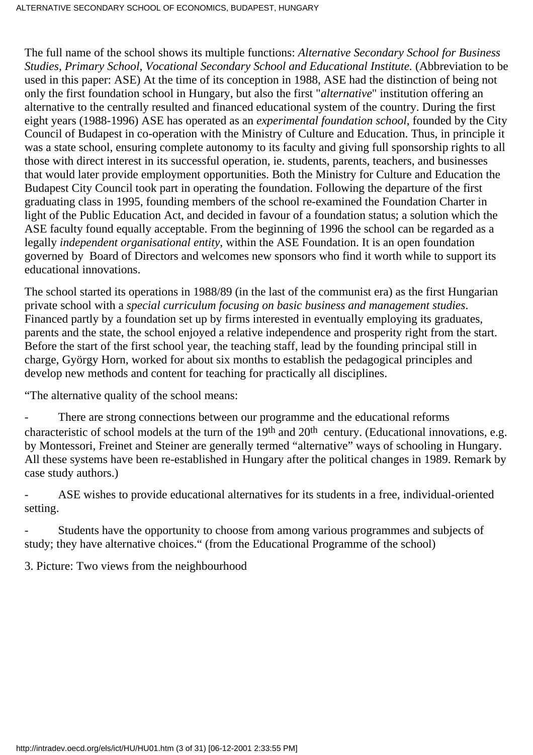The full name of the school shows its multiple functions: *Alternative Secondary School for Business Studies, Primary School, Vocational Secondary School and Educational Institute.* (Abbreviation to be used in this paper: ASE) At the time of its conception in 1988, ASE had the distinction of being not only the first foundation school in Hungary, but also the first "*alternative*" institution offering an alternative to the centrally resulted and financed educational system of the country. During the first eight years (1988-1996) ASE has operated as an *experimental foundation school*, founded by the City Council of Budapest in co-operation with the Ministry of Culture and Education. Thus, in principle it was a state school, ensuring complete autonomy to its faculty and giving full sponsorship rights to all those with direct interest in its successful operation, ie. students, parents, teachers, and businesses that would later provide employment opportunities. Both the Ministry for Culture and Education the Budapest City Council took part in operating the foundation. Following the departure of the first graduating class in 1995, founding members of the school re-examined the Foundation Charter in light of the Public Education Act, and decided in favour of a foundation status; a solution which the ASE faculty found equally acceptable. From the beginning of 1996 the school can be regarded as a legally *independent organisational entity*, within the ASE Foundation. It is an open foundation governed by Board of Directors and welcomes new sponsors who find it worth while to support its educational innovations.

The school started its operations in 1988/89 (in the last of the communist era) as the first Hungarian private school with a *special curriculum focusing on basic business and management studies*. Financed partly by a foundation set up by firms interested in eventually employing its graduates, parents and the state, the school enjoyed a relative independence and prosperity right from the start. Before the start of the first school year, the teaching staff, lead by the founding principal still in charge, György Horn, worked for about six months to establish the pedagogical principles and develop new methods and content for teaching for practically all disciplines.

"The alternative quality of the school means:

There are strong connections between our programme and the educational reforms characteristic of school models at the turn of the 19<sup>th</sup> and 20<sup>th</sup> century. (Educational innovations, e.g. by Montessori, Freinet and Steiner are generally termed "alternative" ways of schooling in Hungary. All these systems have been re-established in Hungary after the political changes in 1989. Remark by case study authors.)

ASE wishes to provide educational alternatives for its students in a free, individual-oriented setting.

Students have the opportunity to choose from among various programmes and subjects of study; they have alternative choices." (from the Educational Programme of the school)

3. Picture: Two views from the neighbourhood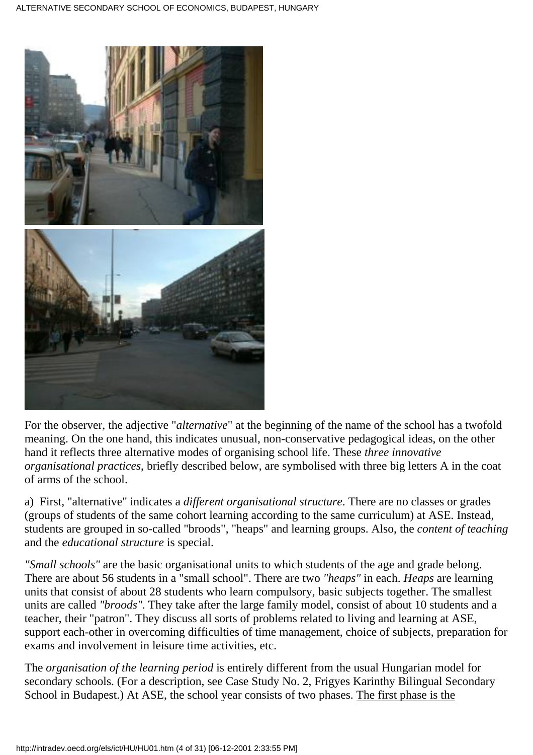

For the observer, the adjective "*alternative*" at the beginning of the name of the school has a twofold meaning. On the one hand, this indicates unusual, non-conservative pedagogical ideas, on the other hand it reflects three alternative modes of organising school life. These *three innovative organisational practices*, briefly described below, are symbolised with three big letters A in the coat of arms of the school.

a) First, "alternative" indicates a *different organisational structure*. There are no classes or grades (groups of students of the same cohort learning according to the same curriculum) at ASE. Instead, students are grouped in so-called "broods", "heaps" and learning groups. Also, the *content of teaching* and the *educational structure* is special.

*"Small schools"* are the basic organisational units to which students of the age and grade belong. There are about 56 students in a "small school". There are two *"heaps"* in each. *Heaps* are learning units that consist of about 28 students who learn compulsory, basic subjects together. The smallest units are called *"broods"*. They take after the large family model, consist of about 10 students and a teacher, their "patron". They discuss all sorts of problems related to living and learning at ASE, support each-other in overcoming difficulties of time management, choice of subjects, preparation for exams and involvement in leisure time activities, etc.

The *organisation of the learning period* is entirely different from the usual Hungarian model for secondary schools. (For a description, see Case Study No. 2, Frigyes Karinthy Bilingual Secondary School in Budapest.) At ASE, the school year consists of two phases. The first phase is the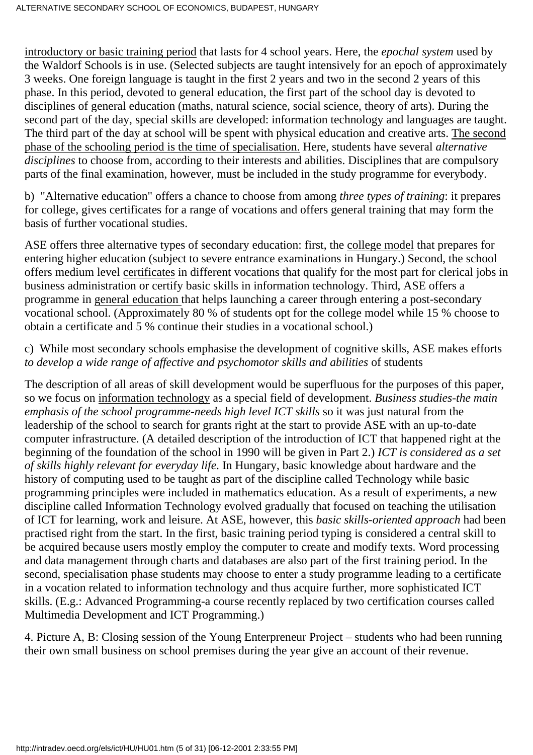introductory or basic training period that lasts for 4 school years. Here, the *epochal system* used by the Waldorf Schools is in use. (Selected subjects are taught intensively for an epoch of approximately 3 weeks. One foreign language is taught in the first 2 years and two in the second 2 years of this phase. In this period, devoted to general education, the first part of the school day is devoted to disciplines of general education (maths, natural science, social science, theory of arts). During the second part of the day, special skills are developed: information technology and languages are taught. The third part of the day at school will be spent with physical education and creative arts. The second phase of the schooling period is the time of specialisation. Here, students have several *alternative disciplines* to choose from, according to their interests and abilities. Disciplines that are compulsory parts of the final examination, however, must be included in the study programme for everybody.

b) "Alternative education" offers a chance to choose from among *three types of training*: it prepares for college, gives certificates for a range of vocations and offers general training that may form the basis of further vocational studies.

ASE offers three alternative types of secondary education: first, the college model that prepares for entering higher education (subject to severe entrance examinations in Hungary.) Second, the school offers medium level certificates in different vocations that qualify for the most part for clerical jobs in business administration or certify basic skills in information technology. Third, ASE offers a programme in general education that helps launching a career through entering a post-secondary vocational school. (Approximately 80 % of students opt for the college model while 15 % choose to obtain a certificate and 5 % continue their studies in a vocational school.)

c) While most secondary schools emphasise the development of cognitive skills, ASE makes efforts *to develop a wide range of affective and psychomotor skills and abilities* of students

The description of all areas of skill development would be superfluous for the purposes of this paper, so we focus on information technology as a special field of development. *Business studies-the main emphasis of the school programme-needs high level ICT skills* so it was just natural from the leadership of the school to search for grants right at the start to provide ASE with an up-to-date computer infrastructure. (A detailed description of the introduction of ICT that happened right at the beginning of the foundation of the school in 1990 will be given in Part 2.) *ICT is considered as a set of skills highly relevant for everyday life*. In Hungary, basic knowledge about hardware and the history of computing used to be taught as part of the discipline called Technology while basic programming principles were included in mathematics education. As a result of experiments, a new discipline called Information Technology evolved gradually that focused on teaching the utilisation of ICT for learning, work and leisure. At ASE, however, this *basic skills-oriented approach* had been practised right from the start. In the first, basic training period typing is considered a central skill to be acquired because users mostly employ the computer to create and modify texts. Word processing and data management through charts and databases are also part of the first training period. In the second, specialisation phase students may choose to enter a study programme leading to a certificate in a vocation related to information technology and thus acquire further, more sophisticated ICT skills. (E.g.: Advanced Programming-a course recently replaced by two certification courses called Multimedia Development and ICT Programming.)

4. Picture A, B: Closing session of the Young Enterpreneur Project – students who had been running their own small business on school premises during the year give an account of their revenue.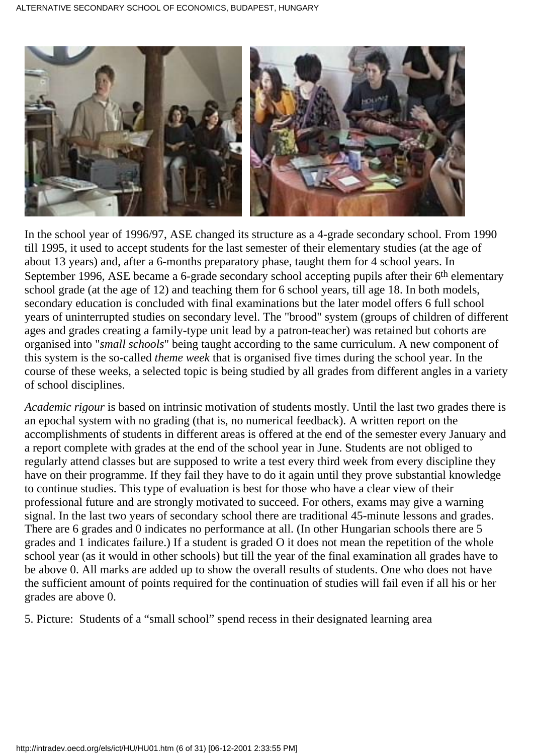

In the school year of 1996/97, ASE changed its structure as a 4-grade secondary school. From 1990 till 1995, it used to accept students for the last semester of their elementary studies (at the age of about 13 years) and, after a 6-months preparatory phase, taught them for 4 school years. In September 1996, ASE became a 6-grade secondary school accepting pupils after their 6<sup>th</sup> elementary school grade (at the age of 12) and teaching them for 6 school years, till age 18. In both models, secondary education is concluded with final examinations but the later model offers 6 full school years of uninterrupted studies on secondary level. The "brood" system (groups of children of different ages and grades creating a family-type unit lead by a patron-teacher) was retained but cohorts are organised into "*small schools*" being taught according to the same curriculum. A new component of this system is the so-called *theme week* that is organised five times during the school year. In the course of these weeks, a selected topic is being studied by all grades from different angles in a variety of school disciplines.

*Academic rigour* is based on intrinsic motivation of students mostly. Until the last two grades there is an epochal system with no grading (that is, no numerical feedback). A written report on the accomplishments of students in different areas is offered at the end of the semester every January and a report complete with grades at the end of the school year in June. Students are not obliged to regularly attend classes but are supposed to write a test every third week from every discipline they have on their programme. If they fail they have to do it again until they prove substantial knowledge to continue studies. This type of evaluation is best for those who have a clear view of their professional future and are strongly motivated to succeed. For others, exams may give a warning signal. In the last two years of secondary school there are traditional 45-minute lessons and grades. There are 6 grades and 0 indicates no performance at all. (In other Hungarian schools there are 5 grades and 1 indicates failure.) If a student is graded O it does not mean the repetition of the whole school year (as it would in other schools) but till the year of the final examination all grades have to be above 0. All marks are added up to show the overall results of students. One who does not have the sufficient amount of points required for the continuation of studies will fail even if all his or her grades are above 0.

5. Picture: Students of a "small school" spend recess in their designated learning area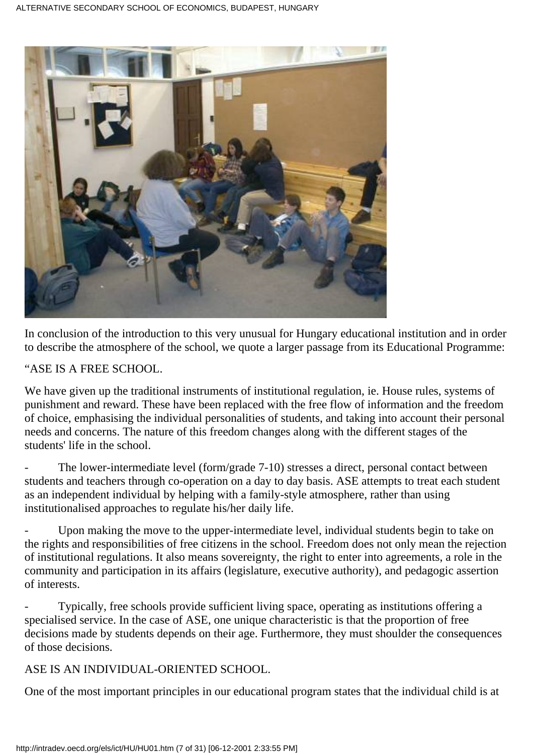

In conclusion of the introduction to this very unusual for Hungary educational institution and in order to describe the atmosphere of the school, we quote a larger passage from its Educational Programme:

### "ASE IS A FREE SCHOOL.

We have given up the traditional instruments of institutional regulation, ie. House rules, systems of punishment and reward. These have been replaced with the free flow of information and the freedom of choice, emphasising the individual personalities of students, and taking into account their personal needs and concerns. The nature of this freedom changes along with the different stages of the students' life in the school.

The lower-intermediate level (form/grade 7-10) stresses a direct, personal contact between students and teachers through co-operation on a day to day basis. ASE attempts to treat each student as an independent individual by helping with a family-style atmosphere, rather than using institutionalised approaches to regulate his/her daily life.

Upon making the move to the upper-intermediate level, individual students begin to take on the rights and responsibilities of free citizens in the school. Freedom does not only mean the rejection of institutional regulations. It also means sovereignty, the right to enter into agreements, a role in the community and participation in its affairs (legislature, executive authority), and pedagogic assertion of interests.

Typically, free schools provide sufficient living space, operating as institutions offering a specialised service. In the case of ASE, one unique characteristic is that the proportion of free decisions made by students depends on their age. Furthermore, they must shoulder the consequences of those decisions.

#### ASE IS AN INDIVIDUAL-ORIENTED SCHOOL.

One of the most important principles in our educational program states that the individual child is at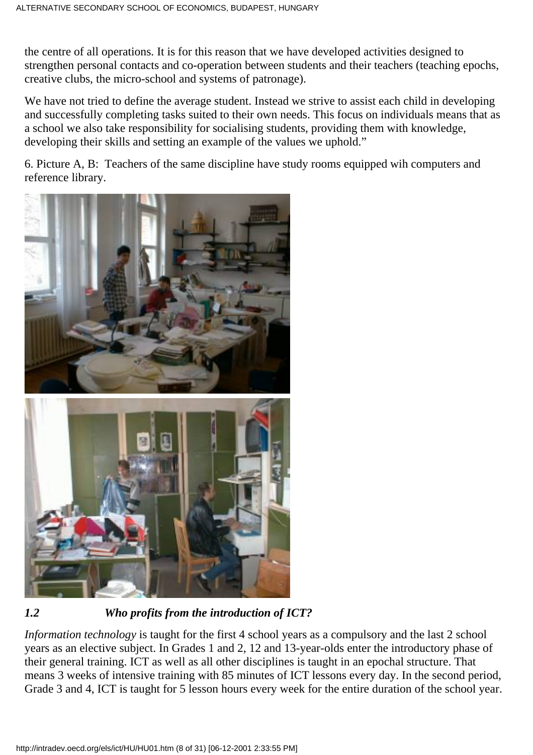the centre of all operations. It is for this reason that we have developed activities designed to strengthen personal contacts and co-operation between students and their teachers (teaching epochs, creative clubs, the micro-school and systems of patronage).

We have not tried to define the average student. Instead we strive to assist each child in developing and successfully completing tasks suited to their own needs. This focus on individuals means that as a school we also take responsibility for socialising students, providing them with knowledge, developing their skills and setting an example of the values we uphold."

6. Picture A, B: Teachers of the same discipline have study rooms equipped wih computers and reference library.



#### *1.2 Who profits from the introduction of ICT?*

*Information technology* is taught for the first 4 school years as a compulsory and the last 2 school

years as an elective subject. In Grades 1 and 2, 12 and 13-year-olds enter the introductory phase of their general training. ICT as well as all other disciplines is taught in an epochal structure. That means 3 weeks of intensive training with 85 minutes of ICT lessons every day. In the second period, Grade 3 and 4, ICT is taught for 5 lesson hours every week for the entire duration of the school year.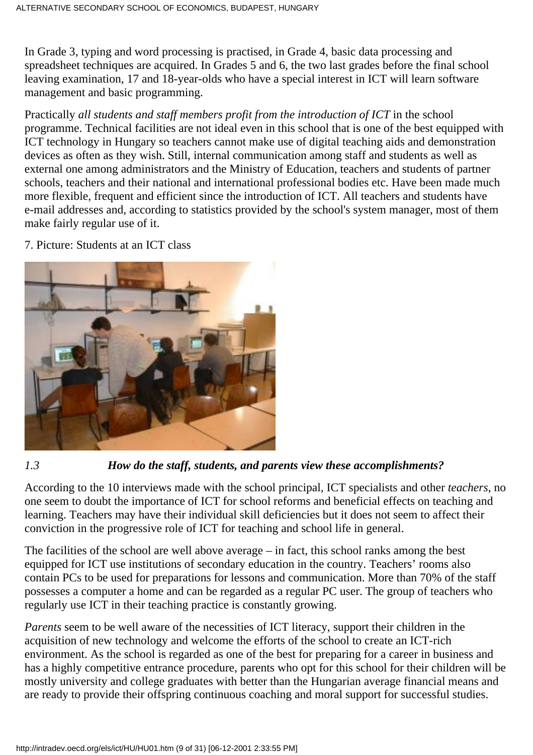In Grade 3, typing and word processing is practised, in Grade 4, basic data processing and spreadsheet techniques are acquired. In Grades 5 and 6, the two last grades before the final school leaving examination, 17 and 18-year-olds who have a special interest in ICT will learn software management and basic programming.

Practically *all students and staff members profit from the introduction of ICT* in the school programme. Technical facilities are not ideal even in this school that is one of the best equipped with ICT technology in Hungary so teachers cannot make use of digital teaching aids and demonstration devices as often as they wish. Still, internal communication among staff and students as well as external one among administrators and the Ministry of Education, teachers and students of partner schools, teachers and their national and international professional bodies etc. Have been made much more flexible, frequent and efficient since the introduction of ICT. All teachers and students have e-mail addresses and, according to statistics provided by the school's system manager, most of them make fairly regular use of it.

7. Picture: Students at an ICT class



According to the 10 interviews made with the school principal, ICT specialists and other *teachers*, no one seem to doubt the importance of ICT for school reforms and beneficial effects on teaching and learning. Teachers may have their individual skill deficiencies but it does not seem to affect their conviction in the progressive role of ICT for teaching and school life in general.

The facilities of the school are well above average – in fact, this school ranks among the best equipped for ICT use institutions of secondary education in the country. Teachers' rooms also contain PCs to be used for preparations for lessons and communication. More than 70% of the staff possesses a computer a home and can be regarded as a regular PC user. The group of teachers who regularly use ICT in their teaching practice is constantly growing.

*Parents* seem to be well aware of the necessities of ICT literacy, support their children in the acquisition of new technology and welcome the efforts of the school to create an ICT-rich environment. As the school is regarded as one of the best for preparing for a career in business and has a highly competitive entrance procedure, parents who opt for this school for their children will be mostly university and college graduates with better than the Hungarian average financial means and are ready to provide their offspring continuous coaching and moral support for successful studies.

*<sup>1.3</sup> How do the staff, students, and parents view these accomplishments?*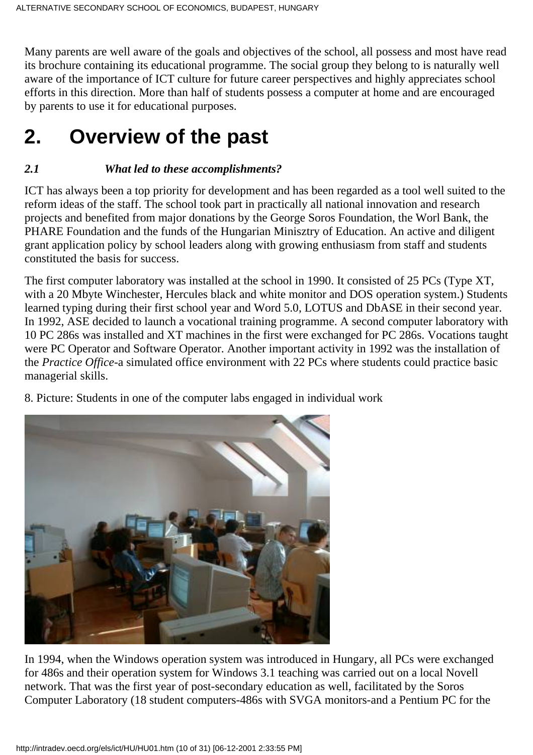Many parents are well aware of the goals and objectives of the school, all possess and most have read its brochure containing its educational programme. The social group they belong to is naturally well aware of the importance of ICT culture for future career perspectives and highly appreciates school efforts in this direction. More than half of students possess a computer at home and are encouraged by parents to use it for educational purposes.

# **2. Overview of the past**

# *2.1 What led to these accomplishments?*

ICT has always been a top priority for development and has been regarded as a tool well suited to the reform ideas of the staff. The school took part in practically all national innovation and research projects and benefited from major donations by the George Soros Foundation, the Worl Bank, the PHARE Foundation and the funds of the Hungarian Minisztry of Education. An active and diligent grant application policy by school leaders along with growing enthusiasm from staff and students constituted the basis for success.

The first computer laboratory was installed at the school in 1990. It consisted of 25 PCs (Type XT, with a 20 Mbyte Winchester, Hercules black and white monitor and DOS operation system.) Students learned typing during their first school year and Word 5.0, LOTUS and DbASE in their second year. In 1992, ASE decided to launch a vocational training programme. A second computer laboratory with 10 PC 286s was installed and XT machines in the first were exchanged for PC 286s. Vocations taught were PC Operator and Software Operator. Another important activity in 1992 was the installation of the *Practice Office-*a simulated office environment with 22 PCs where students could practice basic managerial skills.

8. Picture: Students in one of the computer labs engaged in individual work



In 1994, when the Windows operation system was introduced in Hungary, all PCs were exchanged for 486s and their operation system for Windows 3.1 teaching was carried out on a local Novell network. That was the first year of post-secondary education as well, facilitated by the Soros Computer Laboratory (18 student computers-486s with SVGA monitors-and a Pentium PC for the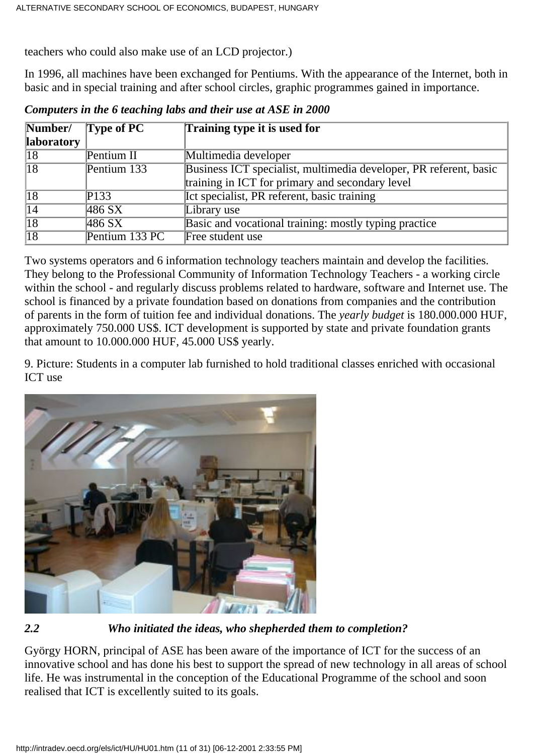teachers who could also make use of an LCD projector.)

In 1996, all machines have been exchanged for Pentiums. With the appearance of the Internet, both in basic and in special training and after school circles, graphic programmes gained in importance.

| Number/           | <b>Type of PC</b> | Training type it is used for                                      |  |
|-------------------|-------------------|-------------------------------------------------------------------|--|
| <b>laboratory</b> |                   |                                                                   |  |
| $ 18\rangle$      | Pentium II        | Multimedia developer                                              |  |
| $\overline{18}$   | Pentium 133       | Business ICT specialist, multimedia developer, PR referent, basic |  |
|                   |                   | training in ICT for primary and secondary level                   |  |
| 18                | P <sub>133</sub>  | Ict specialist, PR referent, basic training                       |  |
| 14                | 486 SX            | Library use                                                       |  |
| $\overline{18}$   | 486 S X           | Basic and vocational training: mostly typing practice             |  |
| $\overline{18}$   | Pentium 133 PC    | Free student use                                                  |  |

*Computers in the 6 teaching labs and their use at ASE in 2000*

Two systems operators and 6 information technology teachers maintain and develop the facilities. They belong to the Professional Community of Information Technology Teachers - a working circle within the school - and regularly discuss problems related to hardware, software and Internet use. The school is financed by a private foundation based on donations from companies and the contribution of parents in the form of tuition fee and individual donations. The *yearly budget* is 180.000.000 HUF, approximately 750.000 US\$. ICT development is supported by state and private foundation grants that amount to 10.000.000 HUF, 45.000 US\$ yearly.

9. Picture: Students in a computer lab furnished to hold traditional classes enriched with occasional ICT use



*2.2 Who initiated the ideas, who shepherded them to completion?*

György HORN, principal of ASE has been aware of the importance of ICT for the success of an innovative school and has done his best to support the spread of new technology in all areas of school life. He was instrumental in the conception of the Educational Programme of the school and soon realised that ICT is excellently suited to its goals.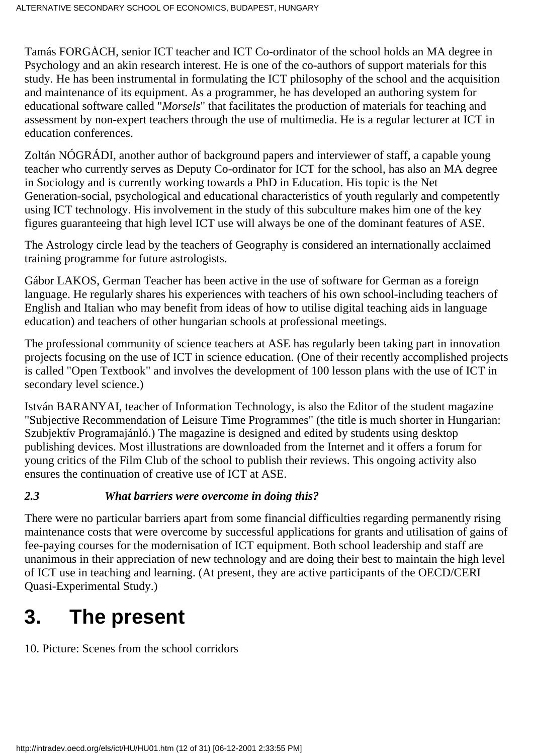Tamás FORGÁCH, senior ICT teacher and ICT Co-ordinator of the school holds an MA degree in Psychology and an akin research interest. He is one of the co-authors of support materials for this study. He has been instrumental in formulating the ICT philosophy of the school and the acquisition and maintenance of its equipment. As a programmer, he has developed an authoring system for educational software called "*Morsels*" that facilitates the production of materials for teaching and assessment by non-expert teachers through the use of multimedia. He is a regular lecturer at ICT in education conferences.

Zoltán NÓGRÁDI, another author of background papers and interviewer of staff, a capable young teacher who currently serves as Deputy Co-ordinator for ICT for the school, has also an MA degree in Sociology and is currently working towards a PhD in Education. His topic is the Net Generation-social, psychological and educational characteristics of youth regularly and competently using ICT technology. His involvement in the study of this subculture makes him one of the key figures guaranteeing that high level ICT use will always be one of the dominant features of ASE.

The Astrology circle lead by the teachers of Geography is considered an internationally acclaimed training programme for future astrologists.

Gábor LAKOS, German Teacher has been active in the use of software for German as a foreign language. He regularly shares his experiences with teachers of his own school-including teachers of English and Italian who may benefit from ideas of how to utilise digital teaching aids in language education) and teachers of other hungarian schools at professional meetings.

The professional community of science teachers at ASE has regularly been taking part in innovation projects focusing on the use of ICT in science education. (One of their recently accomplished projects is called "Open Textbook" and involves the development of 100 lesson plans with the use of ICT in secondary level science.)

István BARANYAI, teacher of Information Technology, is also the Editor of the student magazine "Subjective Recommendation of Leisure Time Programmes" (the title is much shorter in Hungarian: Szubjektív Programajánló.) The magazine is designed and edited by students using desktop publishing devices. Most illustrations are downloaded from the Internet and it offers a forum for young critics of the Film Club of the school to publish their reviews. This ongoing activity also ensures the continuation of creative use of ICT at ASE.

# *2.3 What barriers were overcome in doing this?*

There were no particular barriers apart from some financial difficulties regarding permanently rising maintenance costs that were overcome by successful applications for grants and utilisation of gains of fee-paying courses for the modernisation of ICT equipment. Both school leadership and staff are unanimous in their appreciation of new technology and are doing their best to maintain the high level of ICT use in teaching and learning. (At present, they are active participants of the OECD/CERI Quasi-Experimental Study.)

# **3. The present**

10. Picture: Scenes from the school corridors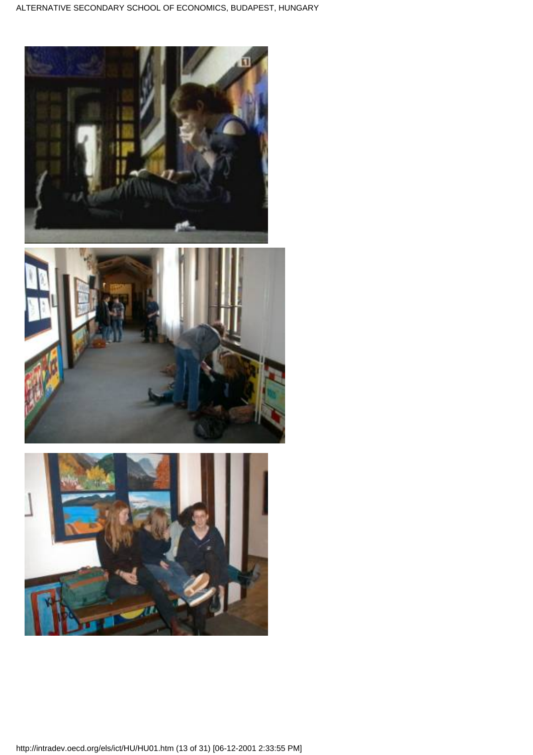

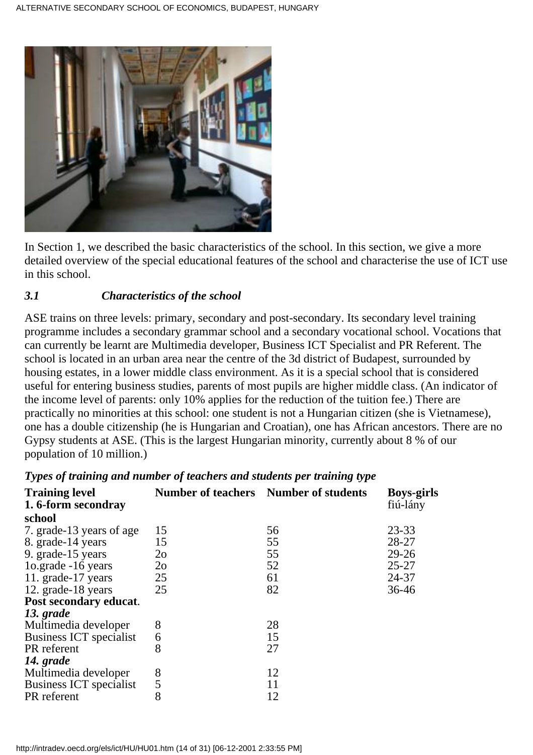

In Section 1, we described the basic characteristics of the school. In this section, we give a more detailed overview of the special educational features of the school and characterise the use of ICT use in this school.

# *3.1 Characteristics of the school*

ASE trains on three levels: primary, secondary and post-secondary. Its secondary level training programme includes a secondary grammar school and a secondary vocational school. Vocations that can currently be learnt are Multimedia developer, Business ICT Specialist and PR Referent. The school is located in an urban area near the centre of the 3d district of Budapest, surrounded by housing estates, in a lower middle class environment. As it is a special school that is considered useful for entering business studies, parents of most pupils are higher middle class. (An indicator of the income level of parents: only 10% applies for the reduction of the tuition fee.) There are practically no minorities at this school: one student is not a Hungarian citizen (she is Vietnamese), one has a double citizenship (he is Hungarian and Croatian), one has African ancestors. There are no Gypsy students at ASE. (This is the largest Hungarian minority, currently about 8 % of our population of 10 million.)

| <b>Training level</b><br>1.6-form secondray<br>school |                                       | <b>Number of teachers</b> Number of students | <b>Boys-girls</b><br>fiú-lány |
|-------------------------------------------------------|---------------------------------------|----------------------------------------------|-------------------------------|
| 7. grade-13 years of age                              | 15                                    | 56                                           | 23-33                         |
| 8. grade-14 years                                     | 15                                    | 55                                           | 28-27                         |
| 9. grade-15 years                                     | 2 <sub>o</sub>                        | 55                                           | $29 - 26$                     |
| 10.grade -16 years                                    | 2 <sub>o</sub>                        | 52                                           | $25 - 27$                     |
| 11. grade-17 years                                    | 25                                    | 61                                           | 24-37                         |
| 12. grade-18 years                                    | 25                                    | 82                                           | 36-46                         |
| Post secondary educat.                                |                                       |                                              |                               |
| 13. grade                                             |                                       |                                              |                               |
| Multimedia developer                                  | 8                                     | 28                                           |                               |
| Business ICT specialist                               | 6                                     | 15                                           |                               |
| PR referent                                           | 8                                     | 27                                           |                               |
| 14. grade                                             |                                       |                                              |                               |
| Multimedia developer                                  |                                       | 12                                           |                               |
| Business ICT specialist                               | $\begin{array}{c} 8 \\ 5 \end{array}$ | 11                                           |                               |
| PR referent                                           | 8                                     | 12                                           |                               |

#### *Types of training and number of teachers and students per training type*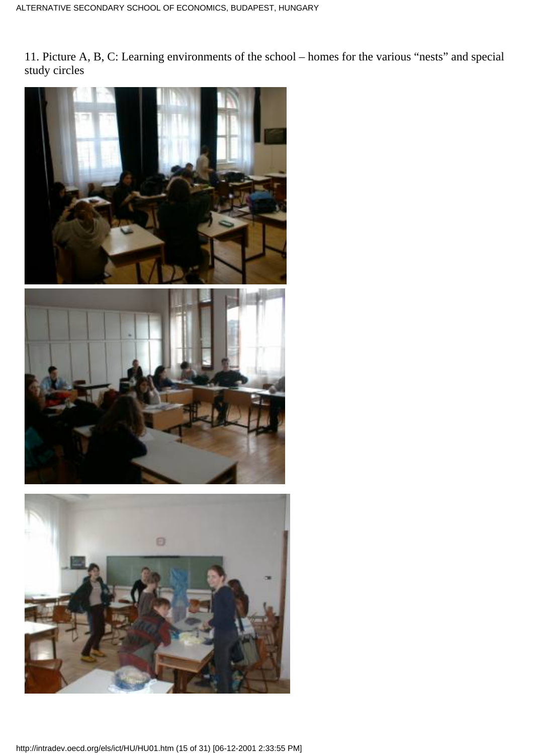11. Picture A, B, C: Learning environments of the school – homes for the various "nests" and special study circles



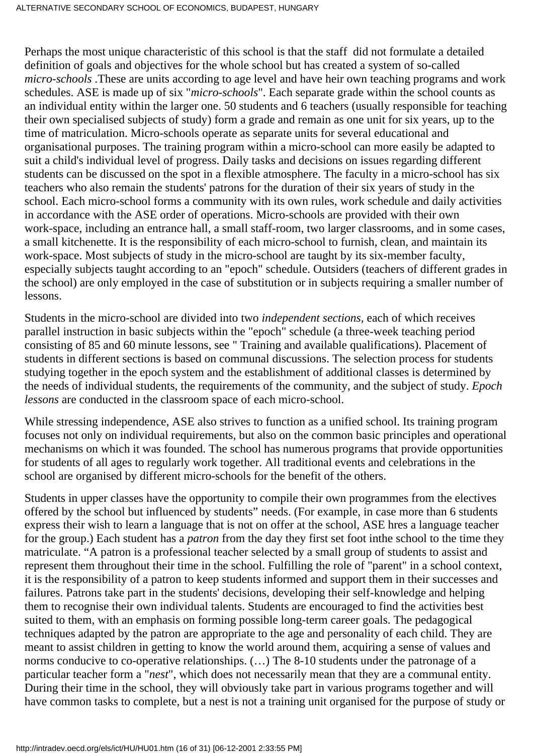Perhaps the most unique characteristic of this school is that the staff did not formulate a detailed definition of goals and objectives for the whole school but has created a system of so-called *micro-schools* .These are units according to age level and have heir own teaching programs and work schedules. ASE is made up of six "*micro-schools*". Each separate grade within the school counts as an individual entity within the larger one. 50 students and 6 teachers (usually responsible for teaching their own specialised subjects of study) form a grade and remain as one unit for six years, up to the time of matriculation. Micro-schools operate as separate units for several educational and organisational purposes. The training program within a micro-school can more easily be adapted to suit a child's individual level of progress. Daily tasks and decisions on issues regarding different students can be discussed on the spot in a flexible atmosphere. The faculty in a micro-school has six teachers who also remain the students' patrons for the duration of their six years of study in the school. Each micro-school forms a community with its own rules, work schedule and daily activities in accordance with the ASE order of operations. Micro-schools are provided with their own work-space, including an entrance hall, a small staff-room, two larger classrooms, and in some cases, a small kitchenette. It is the responsibility of each micro-school to furnish, clean, and maintain its work-space. Most subjects of study in the micro-school are taught by its six-member faculty, especially subjects taught according to an "epoch" schedule. Outsiders (teachers of different grades in the school) are only employed in the case of substitution or in subjects requiring a smaller number of lessons.

Students in the micro-school are divided into two *independent sections,* each of which receives parallel instruction in basic subjects within the "epoch" schedule (a three-week teaching period consisting of 85 and 60 minute lessons, see " Training and available qualifications). Placement of students in different sections is based on communal discussions. The selection process for students studying together in the epoch system and the establishment of additional classes is determined by the needs of individual students, the requirements of the community, and the subject of study. *Epoch lessons* are conducted in the classroom space of each micro-school.

While stressing independence, ASE also strives to function as a unified school. Its training program focuses not only on individual requirements, but also on the common basic principles and operational mechanisms on which it was founded. The school has numerous programs that provide opportunities for students of all ages to regularly work together. All traditional events and celebrations in the school are organised by different micro-schools for the benefit of the others.

Students in upper classes have the opportunity to compile their own programmes from the electives offered by the school but influenced by students" needs. (For example, in case more than 6 students express their wish to learn a language that is not on offer at the school, ASE hres a language teacher for the group.) Each student has a *patron* from the day they first set foot inthe school to the time they matriculate. "A patron is a professional teacher selected by a small group of students to assist and represent them throughout their time in the school. Fulfilling the role of "parent" in a school context, it is the responsibility of a patron to keep students informed and support them in their successes and failures. Patrons take part in the students' decisions, developing their self-knowledge and helping them to recognise their own individual talents. Students are encouraged to find the activities best suited to them, with an emphasis on forming possible long-term career goals. The pedagogical techniques adapted by the patron are appropriate to the age and personality of each child. They are meant to assist children in getting to know the world around them, acquiring a sense of values and norms conducive to co-operative relationships.  $(...)$  The 8-10 students under the patronage of a particular teacher form a "*nest*", which does not necessarily mean that they are a communal entity. During their time in the school, they will obviously take part in various programs together and will have common tasks to complete, but a nest is not a training unit organised for the purpose of study or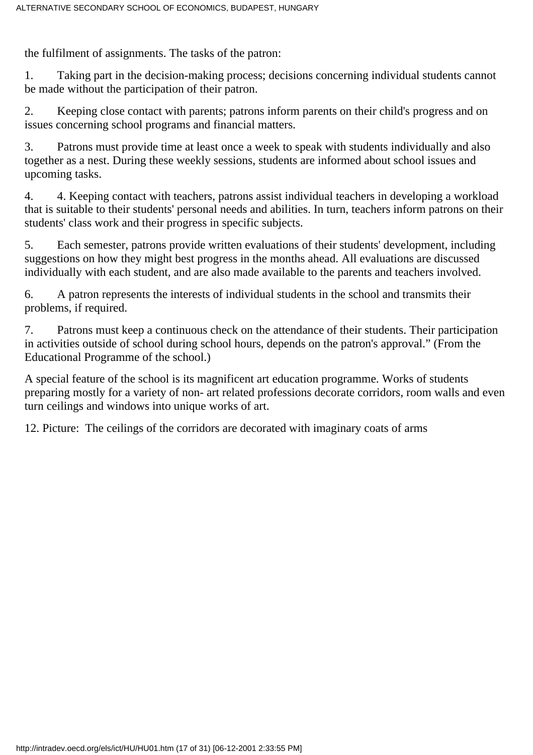the fulfilment of assignments. The tasks of the patron:

1. Taking part in the decision-making process; decisions concerning individual students cannot be made without the participation of their patron.

2. Keeping close contact with parents; patrons inform parents on their child's progress and on issues concerning school programs and financial matters.

3. Patrons must provide time at least once a week to speak with students individually and also together as a nest. During these weekly sessions, students are informed about school issues and upcoming tasks.

4. 4. Keeping contact with teachers, patrons assist individual teachers in developing a workload that is suitable to their students' personal needs and abilities. In turn, teachers inform patrons on their students' class work and their progress in specific subjects.

5. Each semester, patrons provide written evaluations of their students' development, including suggestions on how they might best progress in the months ahead. All evaluations are discussed individually with each student, and are also made available to the parents and teachers involved.

6. A patron represents the interests of individual students in the school and transmits their problems, if required.

7. Patrons must keep a continuous check on the attendance of their students. Their participation in activities outside of school during school hours, depends on the patron's approval." (From the Educational Programme of the school.)

A special feature of the school is its magnificent art education programme. Works of students preparing mostly for a variety of non- art related professions decorate corridors, room walls and even turn ceilings and windows into unique works of art.

12. Picture: The ceilings of the corridors are decorated with imaginary coats of arms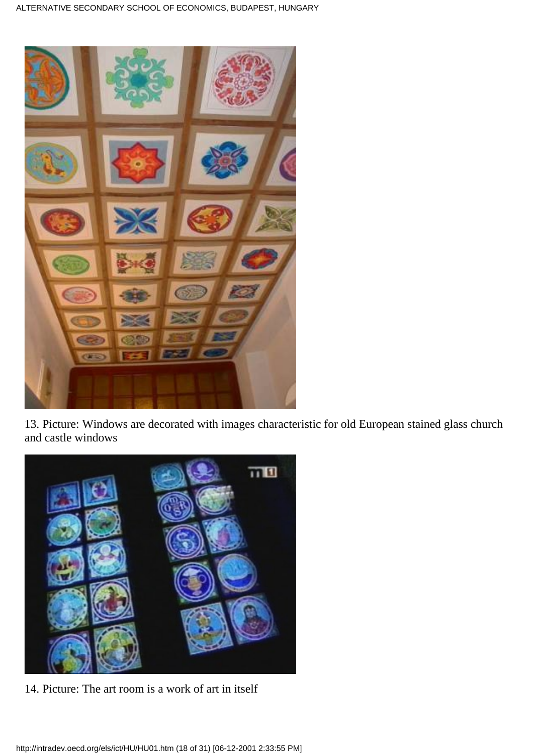

13. Picture: Windows are decorated with images characteristic for old European stained glass church and castle windows



14. Picture: The art room is a work of art in itself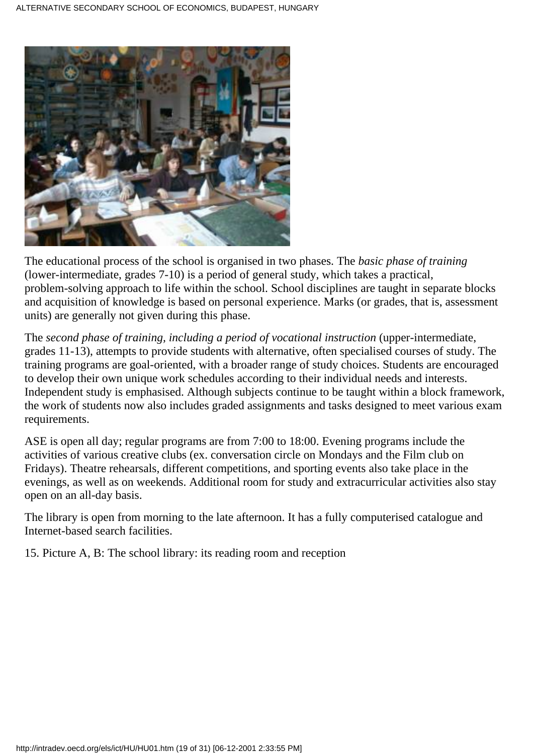

The educational process of the school is organised in two phases. The *basic phase of training* (lower-intermediate, grades 7-10) is a period of general study, which takes a practical, problem-solving approach to life within the school. School disciplines are taught in separate blocks and acquisition of knowledge is based on personal experience. Marks (or grades, that is, assessment units) are generally not given during this phase.

The *second phase of training, including a period of vocational instruction* (upper-intermediate, grades 11-13), attempts to provide students with alternative, often specialised courses of study. The training programs are goal-oriented, with a broader range of study choices. Students are encouraged to develop their own unique work schedules according to their individual needs and interests. Independent study is emphasised. Although subjects continue to be taught within a block framework, the work of students now also includes graded assignments and tasks designed to meet various exam requirements.

ASE is open all day; regular programs are from 7:00 to 18:00. Evening programs include the activities of various creative clubs (ex. conversation circle on Mondays and the Film club on Fridays). Theatre rehearsals, different competitions, and sporting events also take place in the evenings, as well as on weekends. Additional room for study and extracurricular activities also stay open on an all-day basis.

The library is open from morning to the late afternoon. It has a fully computerised catalogue and Internet-based search facilities.

15. Picture A, B: The school library: its reading room and reception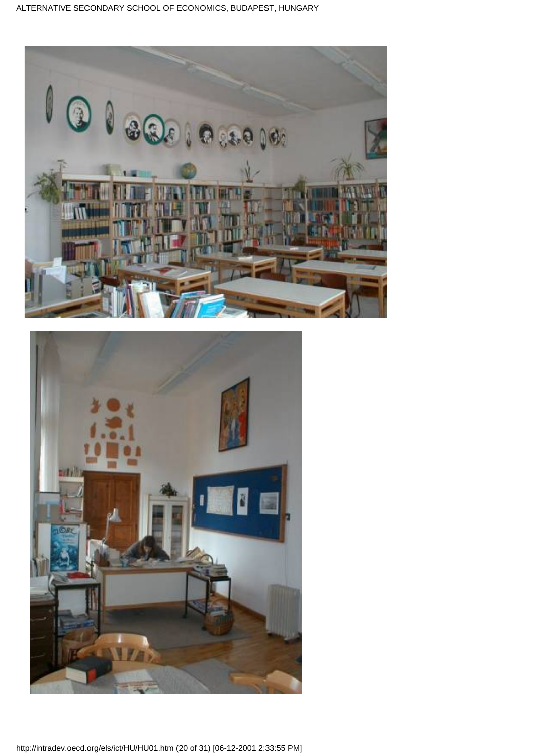

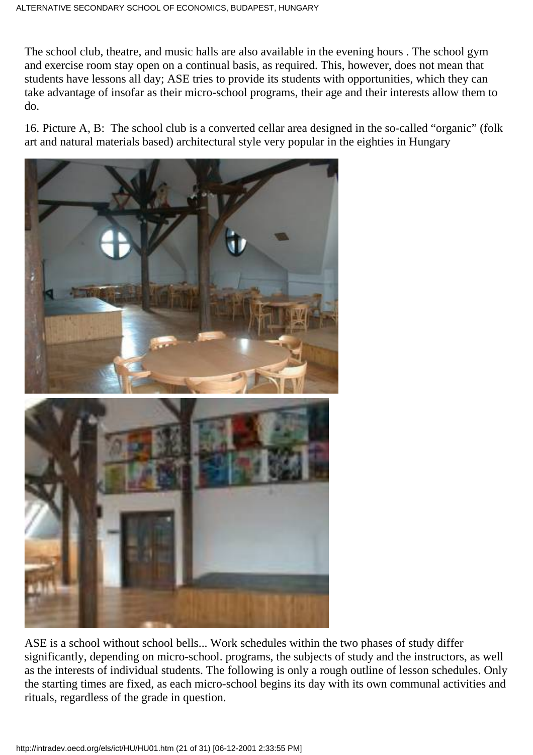The school club, theatre, and music halls are also available in the evening hours . The school gym and exercise room stay open on a continual basis, as required. This, however, does not mean that students have lessons all day; ASE tries to provide its students with opportunities, which they can take advantage of insofar as their micro-school programs, their age and their interests allow them to do.

16. Picture A, B: The school club is a converted cellar area designed in the so-called "organic" (folk art and natural materials based) architectural style very popular in the eighties in Hungary



ASE is a school without school bells... Work schedules within the two phases of study differ significantly, depending on micro-school. programs, the subjects of study and the instructors, as well as the interests of individual students. The following is only a rough outline of lesson schedules. Only the starting times are fixed, as each micro-school begins its day with its own communal activities and rituals, regardless of the grade in question.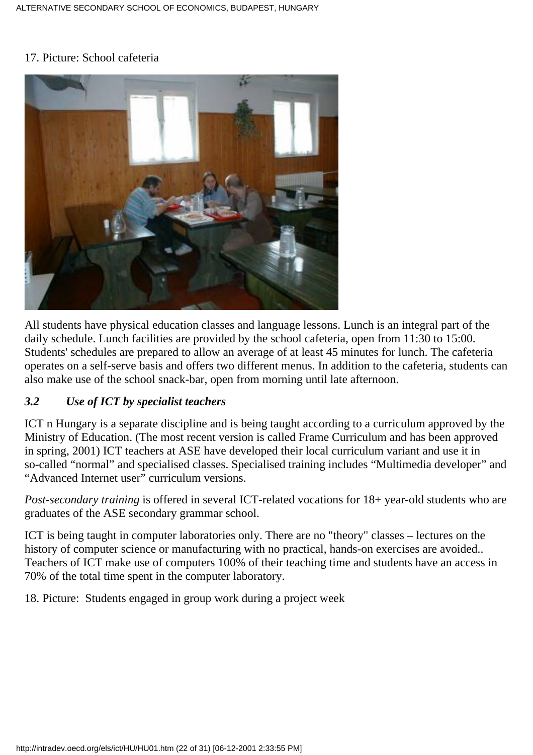#### 17. Picture: School cafeteria



All students have physical education classes and language lessons. Lunch is an integral part of the daily schedule. Lunch facilities are provided by the school cafeteria, open from 11:30 to 15:00. Students' schedules are prepared to allow an average of at least 45 minutes for lunch. The cafeteria operates on a self-serve basis and offers two different menus. In addition to the cafeteria, students can also make use of the school snack-bar, open from morning until late afternoon.

#### *3.2 Use of ICT by specialist teachers*

ICT n Hungary is a separate discipline and is being taught according to a curriculum approved by the Ministry of Education. (The most recent version is called Frame Curriculum and has been approved in spring, 2001) ICT teachers at ASE have developed their local curriculum variant and use it in so-called "normal" and specialised classes. Specialised training includes "Multimedia developer" and "Advanced Internet user" curriculum versions.

*Post-secondary training* is offered in several ICT-related vocations for 18+ year-old students who are graduates of the ASE secondary grammar school.

ICT is being taught in computer laboratories only. There are no "theory" classes – lectures on the history of computer science or manufacturing with no practical, hands-on exercises are avoided.. Teachers of ICT make use of computers 100% of their teaching time and students have an access in 70% of the total time spent in the computer laboratory.

18. Picture: Students engaged in group work during a project week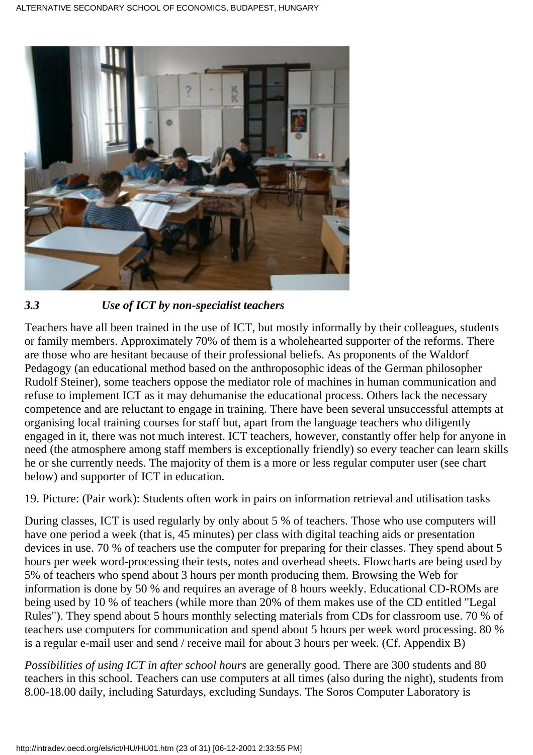

### *3.3 Use of ICT by non-specialist teachers*

Teachers have all been trained in the use of ICT, but mostly informally by their colleagues, students or family members. Approximately 70% of them is a wholehearted supporter of the reforms. There are those who are hesitant because of their professional beliefs. As proponents of the Waldorf Pedagogy (an educational method based on the anthroposophic ideas of the German philosopher Rudolf Steiner), some teachers oppose the mediator role of machines in human communication and refuse to implement ICT as it may dehumanise the educational process. Others lack the necessary competence and are reluctant to engage in training. There have been several unsuccessful attempts at organising local training courses for staff but, apart from the language teachers who diligently engaged in it, there was not much interest. ICT teachers, however, constantly offer help for anyone in need (the atmosphere among staff members is exceptionally friendly) so every teacher can learn skills he or she currently needs. The majority of them is a more or less regular computer user (see chart below) and supporter of ICT in education.

19. Picture: (Pair work): Students often work in pairs on information retrieval and utilisation tasks

During classes, ICT is used regularly by only about 5 % of teachers. Those who use computers will have one period a week (that is, 45 minutes) per class with digital teaching aids or presentation devices in use. 70 % of teachers use the computer for preparing for their classes. They spend about 5 hours per week word-processing their tests, notes and overhead sheets. Flowcharts are being used by 5% of teachers who spend about 3 hours per month producing them. Browsing the Web for information is done by 50 % and requires an average of 8 hours weekly. Educational CD-ROMs are being used by 10 % of teachers (while more than 20% of them makes use of the CD entitled "Legal Rules"). They spend about 5 hours monthly selecting materials from CDs for classroom use. 70 % of teachers use computers for communication and spend about 5 hours per week word processing. 80 % is a regular e-mail user and send / receive mail for about 3 hours per week. (Cf. Appendix B)

*Possibilities of using ICT in after school hours are generally good. There are 300 students and 80* teachers in this school. Teachers can use computers at all times (also during the night), students from 8.00-18.00 daily, including Saturdays, excluding Sundays. The Soros Computer Laboratory is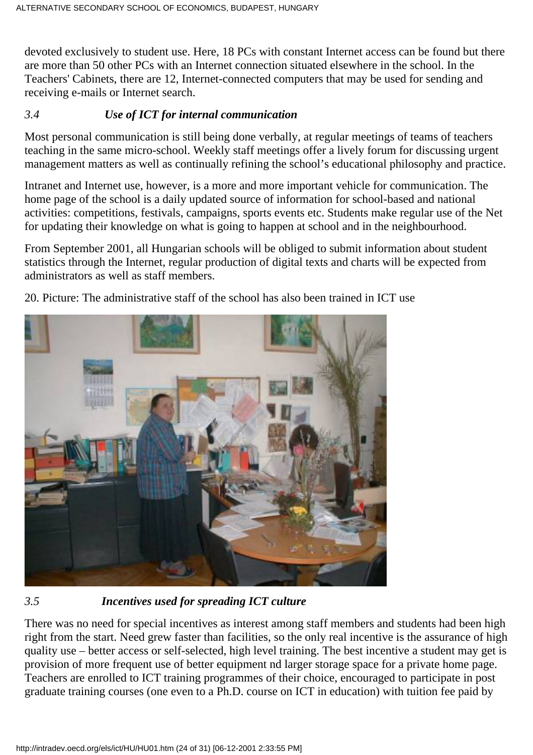devoted exclusively to student use. Here, 18 PCs with constant Internet access can be found but there are more than 50 other PCs with an Internet connection situated elsewhere in the school. In the Teachers' Cabinets, there are 12, Internet-connected computers that may be used for sending and receiving e-mails or Internet search.

### *3.4 Use of ICT for internal communication*

Most personal communication is still being done verbally, at regular meetings of teams of teachers teaching in the same micro-school. Weekly staff meetings offer a lively forum for discussing urgent management matters as well as continually refining the school's educational philosophy and practice.

Intranet and Internet use, however, is a more and more important vehicle for communication. The home page of the school is a daily updated source of information for school-based and national activities: competitions, festivals, campaigns, sports events etc. Students make regular use of the Net for updating their knowledge on what is going to happen at school and in the neighbourhood.

From September 2001, all Hungarian schools will be obliged to submit information about student statistics through the Internet, regular production of digital texts and charts will be expected from administrators as well as staff members.

20. Picture: The administrative staff of the school has also been trained in ICT use



#### *3.5 Incentives used for spreading ICT culture*

There was no need for special incentives as interest among staff members and students had been high right from the start. Need grew faster than facilities, so the only real incentive is the assurance of high quality use – better access or self-selected, high level training. The best incentive a student may get is provision of more frequent use of better equipment nd larger storage space for a private home page. Teachers are enrolled to ICT training programmes of their choice, encouraged to participate in post graduate training courses (one even to a Ph.D. course on ICT in education) with tuition fee paid by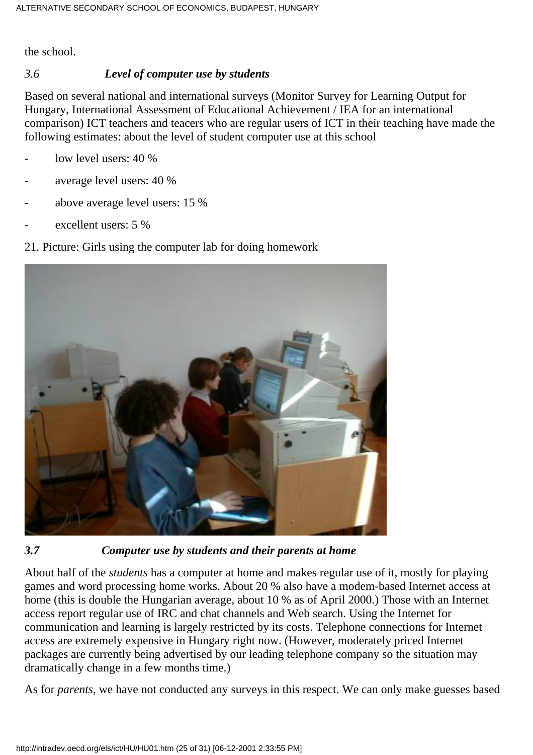the school.

### *3.6 Level of computer use by students*

Based on several national and international surveys (Monitor Survey for Learning Output for Hungary, International Assessment of Educational Achievement / IEA for an international comparison) ICT teachers and teacers who are regular users of ICT in their teaching have made the following estimates: about the level of student computer use at this school

- low level users: 40 %
- average level users: 40 %
- above average level users: 15 %
- excellent users: 5 %

21. Picture: Girls using the computer lab for doing homework





About half of the *students* has a computer at home and makes regular use of it, mostly for playing games and word processing home works. About 20 % also have a modem-based Internet access at home (this is double the Hungarian average, about 10 % as of April 2000.) Those with an Internet access report regular use of IRC and chat channels and Web search. Using the Internet for communication and learning is largely restricted by its costs. Telephone connections for Internet access are extremely expensive in Hungary right now. (However, moderately priced Internet packages are currently being advertised by our leading telephone company so the situation may dramatically change in a few months time.)

As for *parents*, we have not conducted any surveys in this respect. We can only make guesses based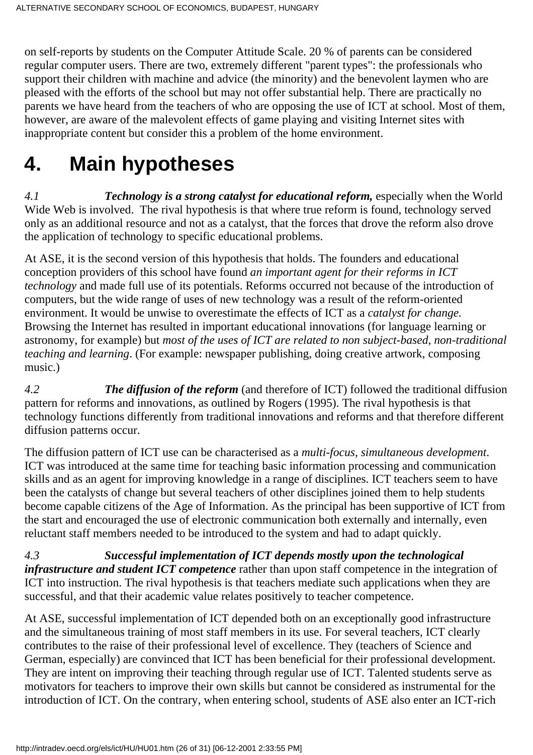on self-reports by students on the Computer Attitude Scale. 20 % of parents can be considered regular computer users. There are two, extremely different "parent types": the professionals who support their children with machine and advice (the minority) and the benevolent laymen who are pleased with the efforts of the school but may not offer substantial help. There are practically no parents we have heard from the teachers of who are opposing the use of ICT at school. Most of them, however, are aware of the malevolent effects of game playing and visiting Internet sites with inappropriate content but consider this a problem of the home environment.

# **4. Main hypotheses**

*4.1 Technology is a strong catalyst for educational reform,* especially when the World Wide Web is involved. The rival hypothesis is that where true reform is found, technology served only as an additional resource and not as a catalyst, that the forces that drove the reform also drove the application of technology to specific educational problems.

At ASE, it is the second version of this hypothesis that holds. The founders and educational conception providers of this school have found *an important agent for their reforms in ICT technology* and made full use of its potentials. Reforms occurred not because of the introduction of computers, but the wide range of uses of new technology was a result of the reform-oriented environment. It would be unwise to overestimate the effects of ICT as a *catalyst for change.* Browsing the Internet has resulted in important educational innovations (for language learning or astronomy, for example) but *most of the uses of ICT are related to non subject-based, non-traditional teaching and learning*. (For example: newspaper publishing, doing creative artwork, composing music.)

*4.2 The diffusion of the reform* (and therefore of ICT) followed the traditional diffusion pattern for reforms and innovations, as outlined by Rogers (1995). The rival hypothesis is that technology functions differently from traditional innovations and reforms and that therefore different diffusion patterns occur.

The diffusion pattern of ICT use can be characterised as a *multi-focus, simultaneous development*. ICT was introduced at the same time for teaching basic information processing and communication skills and as an agent for improving knowledge in a range of disciplines. ICT teachers seem to have been the catalysts of change but several teachers of other disciplines joined them to help students become capable citizens of the Age of Information. As the principal has been supportive of ICT from the start and encouraged the use of electronic communication both externally and internally, even reluctant staff members needed to be introduced to the system and had to adapt quickly.

*4.3 Successful implementation of ICT depends mostly upon the technological infrastructure and student ICT competence* rather than upon staff competence in the integration of ICT into instruction. The rival hypothesis is that teachers mediate such applications when they are successful, and that their academic value relates positively to teacher competence.

At ASE, successful implementation of ICT depended both on an exceptionally good infrastructure and the simultaneous training of most staff members in its use. For several teachers, ICT clearly contributes to the raise of their professional level of excellence. They (teachers of Science and German, especially) are convinced that ICT has been beneficial for their professional development. They are intent on improving their teaching through regular use of ICT. Talented students serve as motivators for teachers to improve their own skills but cannot be considered as instrumental for the introduction of ICT. On the contrary, when entering school, students of ASE also enter an ICT-rich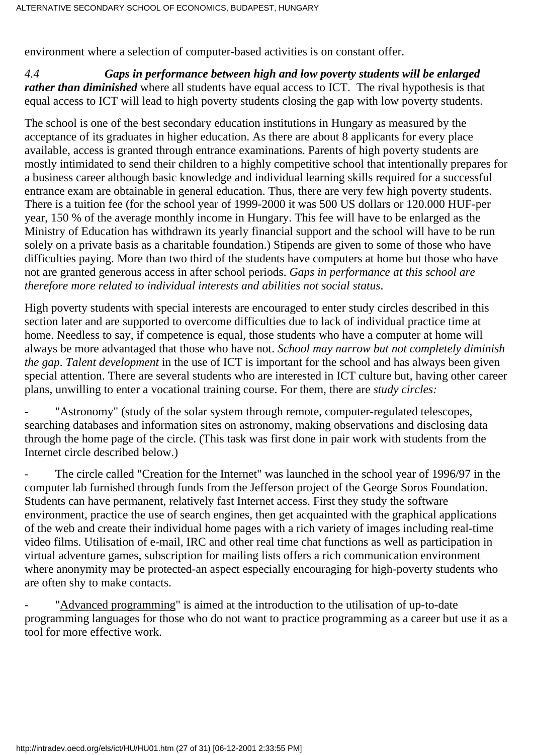environment where a selection of computer-based activities is on constant offer.

*4.4 Gaps in performance between high and low poverty students will be enlarged rather than diminished* where all students have equal access to ICT. The rival hypothesis is that equal access to ICT will lead to high poverty students closing the gap with low poverty students.

The school is one of the best secondary education institutions in Hungary as measured by the acceptance of its graduates in higher education. As there are about 8 applicants for every place available, access is granted through entrance examinations. Parents of high poverty students are mostly intimidated to send their children to a highly competitive school that intentionally prepares for a business career although basic knowledge and individual learning skills required for a successful entrance exam are obtainable in general education. Thus, there are very few high poverty students. There is a tuition fee (for the school year of 1999-2000 it was 500 US dollars or 120.000 HUF-per year, 150 % of the average monthly income in Hungary. This fee will have to be enlarged as the Ministry of Education has withdrawn its yearly financial support and the school will have to be run solely on a private basis as a charitable foundation.) Stipends are given to some of those who have difficulties paying. More than two third of the students have computers at home but those who have not are granted generous access in after school periods. *Gaps in performance at this school are therefore more related to individual interests and abilities not social status*.

High poverty students with special interests are encouraged to enter study circles described in this section later and are supported to overcome difficulties due to lack of individual practice time at home. Needless to say, if competence is equal, those students who have a computer at home will always be more advantaged that those who have not. *School may narrow but not completely diminish the gap*. *Talent development* in the use of ICT is important for the school and has always been given special attention. There are several students who are interested in ICT culture but, having other career plans, unwilling to enter a vocational training course. For them, there are *study circles:*

"Astronomy" (study of the solar system through remote, computer-regulated telescopes, searching databases and information sites on astronomy, making observations and disclosing data through the home page of the circle. (This task was first done in pair work with students from the Internet circle described below.)

The circle called "Creation for the Internet" was launched in the school year of 1996/97 in the computer lab furnished through funds from the Jefferson project of the George Soros Foundation. Students can have permanent, relatively fast Internet access. First they study the software environment, practice the use of search engines, then get acquainted with the graphical applications of the web and create their individual home pages with a rich variety of images including real-time video films. Utilisation of e-mail, IRC and other real time chat functions as well as participation in virtual adventure games, subscription for mailing lists offers a rich communication environment where anonymity may be protected-an aspect especially encouraging for high-poverty students who are often shy to make contacts.

"Advanced programming" is aimed at the introduction to the utilisation of up-to-date programming languages for those who do not want to practice programming as a career but use it as a tool for more effective work.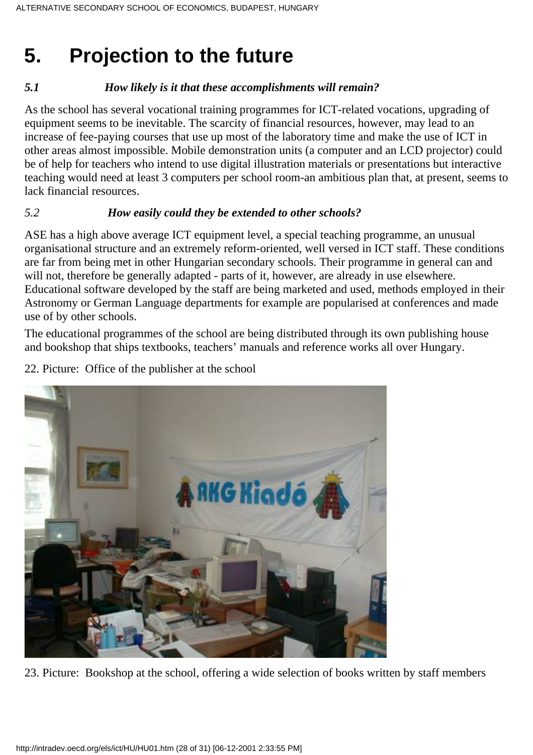# **5. Projection to the future**

# *5.1 How likely is it that these accomplishments will remain?*

As the school has several vocational training programmes for ICT-related vocations, upgrading of equipment seems to be inevitable. The scarcity of financial resources, however, may lead to an increase of fee-paying courses that use up most of the laboratory time and make the use of ICT in other areas almost impossible. Mobile demonstration units (a computer and an LCD projector) could be of help for teachers who intend to use digital illustration materials or presentations but interactive teaching would need at least 3 computers per school room-an ambitious plan that, at present, seems to lack financial resources.

# *5.2 How easily could they be extended to other schools?*

ASE has a high above average ICT equipment level, a special teaching programme, an unusual organisational structure and an extremely reform-oriented, well versed in ICT staff. These conditions are far from being met in other Hungarian secondary schools. Their programme in general can and will not, therefore be generally adapted - parts of it, however, are already in use elsewhere. Educational software developed by the staff are being marketed and used, methods employed in their Astronomy or German Language departments for example are popularised at conferences and made use of by other schools.

The educational programmes of the school are being distributed through its own publishing house and bookshop that ships textbooks, teachers' manuals and reference works all over Hungary.





23. Picture: Bookshop at the school, offering a wide selection of books written by staff members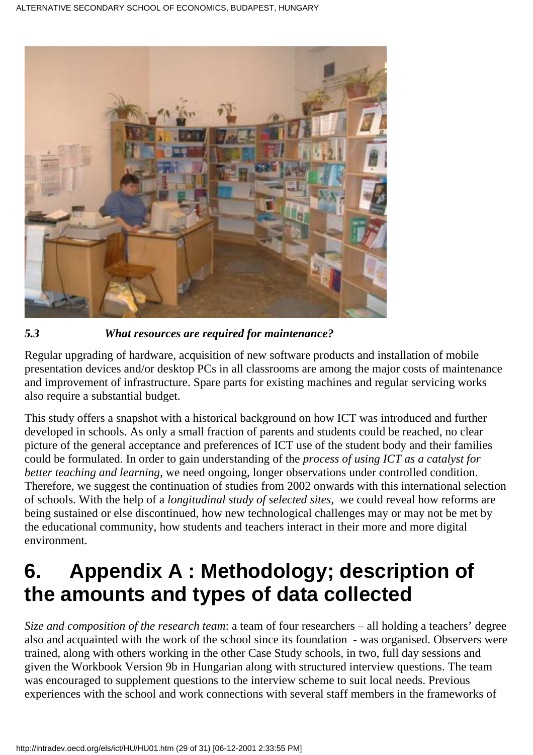

*5.3 What resources are required for maintenance?*

Regular upgrading of hardware, acquisition of new software products and installation of mobile presentation devices and/or desktop PCs in all classrooms are among the major costs of maintenance and improvement of infrastructure. Spare parts for existing machines and regular servicing works also require a substantial budget.

This study offers a snapshot with a historical background on how ICT was introduced and further developed in schools. As only a small fraction of parents and students could be reached, no clear picture of the general acceptance and preferences of ICT use of the student body and their families could be formulated. In order to gain understanding of the *process of using ICT as a catalyst for better teaching and learning,* we need ongoing, longer observations under controlled condition. Therefore, we suggest the continuation of studies from 2002 onwards with this international selection of schools. With the help of a *longitudinal study of selected sites,* we could reveal how reforms are being sustained or else discontinued, how new technological challenges may or may not be met by the educational community, how students and teachers interact in their more and more digital environment.

# **6. Appendix A : Methodology; description of the amounts and types of data collected**

*Size and composition of the research team*: a team of four researchers – all holding a teachers' degree also and acquainted with the work of the school since its foundation - was organised. Observers were trained, along with others working in the other Case Study schools, in two, full day sessions and given the Workbook Version 9b in Hungarian along with structured interview questions. The team was encouraged to supplement questions to the interview scheme to suit local needs. Previous experiences with the school and work connections with several staff members in the frameworks of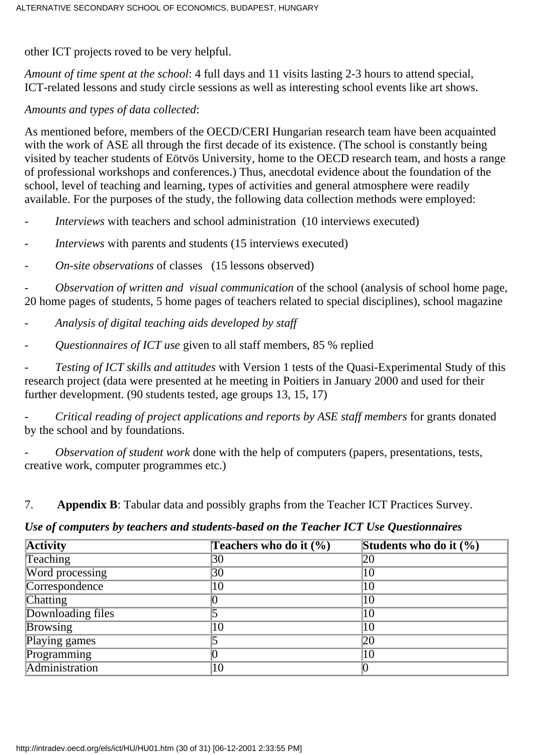other ICT projects roved to be very helpful.

*Amount of time spent at the school*: 4 full days and 11 visits lasting 2-3 hours to attend special, ICT-related lessons and study circle sessions as well as interesting school events like art shows.

### *Amounts and types of data collected*:

As mentioned before, members of the OECD/CERI Hungarian research team have been acquainted with the work of ASE all through the first decade of its existence. (The school is constantly being visited by teacher students of Eötvös University, home to the OECD research team, and hosts a range of professional workshops and conferences.) Thus, anecdotal evidence about the foundation of the school, level of teaching and learning, types of activities and general atmosphere were readily available. For the purposes of the study, the following data collection methods were employed:

- *Interviews* with teachers and school administration (10 interviews executed)
- *Interviews* with parents and students (15 interviews executed)
- *On-site observations* of classes (15 lessons observed)

- *Observation of written and visual communication* of the school (analysis of school home page, 20 home pages of students, 5 home pages of teachers related to special disciplines), school magazine

- *Analysis of digital teaching aids developed by staff*
- *Questionnaires of ICT use* given to all staff members, 85 % replied

- *Testing of ICT skills and attitudes* with Version 1 tests of the Quasi-Experimental Study of this research project (data were presented at he meeting in Poitiers in January 2000 and used for their further development. (90 students tested, age groups 13, 15, 17)

- *Critical reading of project applications and reports by ASE staff members* for grants donated by the school and by foundations.

*Observation of student work* done with the help of computers (papers, presentations, tests, creative work, computer programmes etc.)

7. **Appendix B**: Tabular data and possibly graphs from the Teacher ICT Practices Survey.

# *Use of computers by teachers and students-based on the Teacher ICT Use Questionnaires*

| <b>Activity</b>   | Teachers who do it (%) | Students who do it $(\% )$ |
|-------------------|------------------------|----------------------------|
| Teaching          | 30                     | 20                         |
| Word processing   | 30                     | 10                         |
| Correspondence    | 10                     | 10                         |
| <b>Chatting</b>   |                        | 10                         |
| Downloading files |                        | 10                         |
| <b>Browsing</b>   | 10                     | 10                         |
| Playing games     |                        | 20                         |
| Programming       |                        | 10                         |
| Administration    | 10                     |                            |